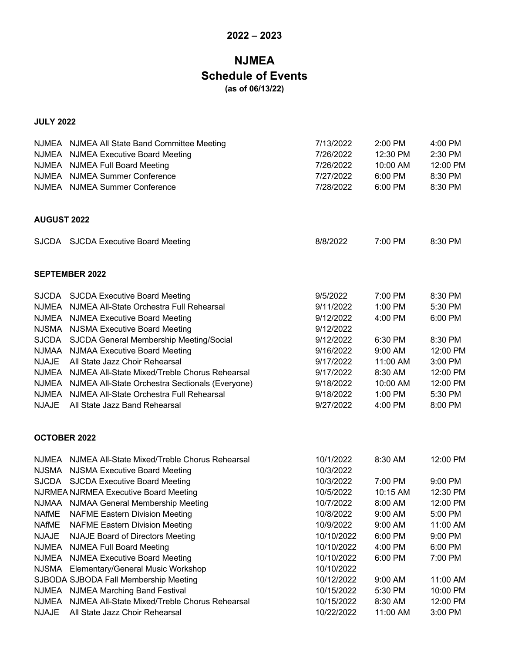## **2022 – 2023**

# **NJMEA Schedule of Events (as of 06/13/22)**

#### **JULY 2022**

|                     | NJMEA NJMEA All State Band Committee Meeting<br>NJMEA NJMEA Executive Board Meeting<br>NJMEA NJMEA Full Board Meeting<br>NJMEA NJMEA Summer Conference<br>NJMEA NJMEA Summer Conference | 7/13/2022<br>7/26/2022<br>7/26/2022<br>7/27/2022<br>7/28/2022 | $2:00$ PM<br>12:30 PM<br>10:00 AM<br>6:00 PM<br>6:00 PM | 4:00 PM<br>2:30 PM<br>12:00 PM<br>8:30 PM<br>8:30 PM |
|---------------------|-----------------------------------------------------------------------------------------------------------------------------------------------------------------------------------------|---------------------------------------------------------------|---------------------------------------------------------|------------------------------------------------------|
| <b>AUGUST 2022</b>  |                                                                                                                                                                                         |                                                               |                                                         |                                                      |
|                     | SJCDA SJCDA Executive Board Meeting                                                                                                                                                     | 8/8/2022                                                      | 7:00 PM                                                 | 8:30 PM                                              |
|                     | <b>SEPTEMBER 2022</b>                                                                                                                                                                   |                                                               |                                                         |                                                      |
|                     | SJCDA SJCDA Executive Board Meeting                                                                                                                                                     | 9/5/2022                                                      | 7:00 PM                                                 | 8:30 PM                                              |
|                     | NJMEA NJMEA All-State Orchestra Full Rehearsal                                                                                                                                          | 9/11/2022                                                     | 1:00 PM                                                 | 5:30 PM                                              |
|                     | NJMEA NJMEA Executive Board Meeting                                                                                                                                                     | 9/12/2022                                                     | 4:00 PM                                                 | 6:00 PM                                              |
|                     | NJSMA NJSMA Executive Board Meeting                                                                                                                                                     | 9/12/2022                                                     |                                                         |                                                      |
| <b>SJCDA</b>        | SJCDA General Membership Meeting/Social                                                                                                                                                 | 9/12/2022                                                     | 6:30 PM                                                 | 8:30 PM                                              |
| <b>NJMAA</b>        | <b>NJMAA Executive Board Meeting</b>                                                                                                                                                    | 9/16/2022                                                     | 9:00 AM                                                 | 12:00 PM                                             |
| <b>NJAJE</b>        | All State Jazz Choir Rehearsal                                                                                                                                                          | 9/17/2022                                                     | 11:00 AM                                                | 3:00 PM                                              |
|                     | NJMEA NJMEA All-State Mixed/Treble Chorus Rehearsal                                                                                                                                     | 9/17/2022                                                     | 8:30 AM                                                 | 12:00 PM                                             |
|                     | NJMEA NJMEA All-State Orchestra Sectionals (Everyone)                                                                                                                                   | 9/18/2022                                                     | 10:00 AM                                                | 12:00 PM                                             |
| <b>NJMEA</b>        | NJMEA All-State Orchestra Full Rehearsal                                                                                                                                                | 9/18/2022                                                     | 1:00 PM                                                 | 5:30 PM                                              |
| <b>NJAJE</b>        | All State Jazz Band Rehearsal                                                                                                                                                           | 9/27/2022                                                     | 4:00 PM                                                 | 8:00 PM                                              |
| <b>OCTOBER 2022</b> |                                                                                                                                                                                         |                                                               |                                                         |                                                      |
|                     | NJMEA NJMEA All-State Mixed/Treble Chorus Rehearsal                                                                                                                                     | 10/1/2022                                                     | 8:30 AM                                                 | 12:00 PM                                             |
|                     | NJSMA NJSMA Executive Board Meeting                                                                                                                                                     | 10/3/2022                                                     |                                                         |                                                      |
|                     | SJCDA SJCDA Executive Board Meeting                                                                                                                                                     | 10/3/2022                                                     | 7:00 PM                                                 | 9:00 PM                                              |
|                     | <b>NJRMEA NJRMEA Executive Board Meeting</b>                                                                                                                                            | 10/5/2022                                                     | 10:15 AM                                                | 12:30 PM                                             |
|                     | NJMAA NJMAA General Membership Meeting                                                                                                                                                  | 10/7/2022                                                     | 8:00 AM                                                 | 12:00 PM                                             |
| <b>NAfME</b>        | <b>NAFME Eastern Division Meeting</b>                                                                                                                                                   | 10/8/2022                                                     | 9:00 AM                                                 | 5:00 PM                                              |
| <b>NAfME</b>        | <b>NAFME Eastern Division Meeting</b>                                                                                                                                                   | 10/9/2022                                                     | 9:00 AM                                                 | 11:00 AM                                             |
| <b>NJAJE</b>        | <b>NJAJE Board of Directors Meeting</b>                                                                                                                                                 | 10/10/2022                                                    | 6:00 PM                                                 | 9:00 PM                                              |
| <b>NJMEA</b>        | <b>NJMEA Full Board Meeting</b>                                                                                                                                                         | 10/10/2022                                                    | 4:00 PM                                                 | 6:00 PM                                              |
| <b>NJMEA</b>        | <b>NJMEA Executive Board Meeting</b>                                                                                                                                                    | 10/10/2022                                                    | 6:00 PM                                                 | 7:00 PM                                              |
| <b>NJSMA</b>        | Elementary/General Music Workshop                                                                                                                                                       | 10/10/2022                                                    |                                                         |                                                      |
|                     | SJBODA SJBODA Fall Membership Meeting                                                                                                                                                   | 10/12/2022                                                    | 9:00 AM                                                 | 11:00 AM                                             |
| <b>NJMEA</b>        | <b>NJMEA Marching Band Festival</b>                                                                                                                                                     | 10/15/2022                                                    | 5:30 PM                                                 | 10:00 PM                                             |
| <b>NJMEA</b>        | NJMEA All-State Mixed/Treble Chorus Rehearsal                                                                                                                                           | 10/15/2022                                                    | 8:30 AM                                                 | 12:00 PM                                             |
| <b>NJAJE</b>        | All State Jazz Choir Rehearsal                                                                                                                                                          | 10/22/2022                                                    | 11:00 AM                                                | 3:00 PM                                              |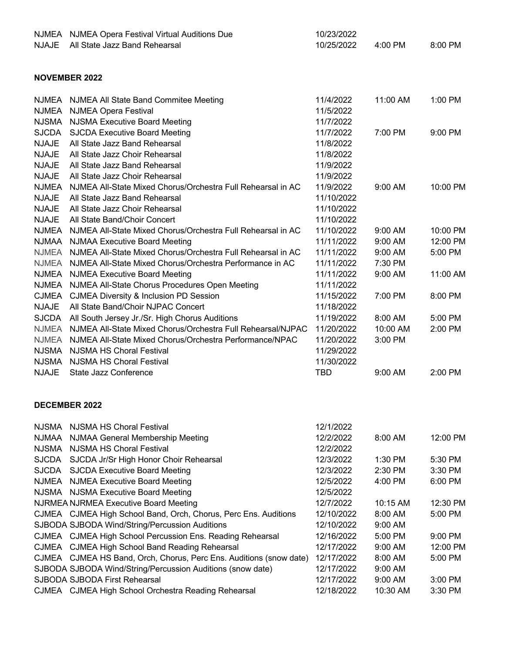| <b>NJMEA</b><br><b>NJAJE</b> | <b>NJMEA Opera Festival Virtual Auditions Due</b><br>All State Jazz Band Rehearsal | 10/23/2022<br>10/25/2022 | 4:00 PM  | 8:00 PM  |
|------------------------------|------------------------------------------------------------------------------------|--------------------------|----------|----------|
|                              | <b>NOVEMBER 2022</b>                                                               |                          |          |          |
|                              |                                                                                    |                          |          |          |
| <b>NJMEA</b>                 | NJMEA All State Band Commitee Meeting                                              | 11/4/2022                | 11:00 AM | 1:00 PM  |
| <b>NJMEA</b>                 | <b>NJMEA Opera Festival</b>                                                        | 11/5/2022                |          |          |
| <b>NJSMA</b>                 | <b>NJSMA Executive Board Meeting</b>                                               | 11/7/2022                |          |          |
| <b>SJCDA</b>                 | <b>SJCDA Executive Board Meeting</b>                                               | 11/7/2022                | 7:00 PM  | 9:00 PM  |
| <b>NJAJE</b>                 | All State Jazz Band Rehearsal                                                      | 11/8/2022                |          |          |
| <b>NJAJE</b>                 | All State Jazz Choir Rehearsal                                                     | 11/8/2022                |          |          |
| <b>NJAJE</b>                 | All State Jazz Band Rehearsal                                                      | 11/9/2022                |          |          |
| <b>NJAJE</b>                 | All State Jazz Choir Rehearsal                                                     | 11/9/2022                |          |          |
| <b>NJMEA</b>                 | NJMEA All-State Mixed Chorus/Orchestra Full Rehearsal in AC                        | 11/9/2022                | 9:00 AM  | 10:00 PM |
| <b>NJAJE</b>                 | All State Jazz Band Rehearsal                                                      | 11/10/2022               |          |          |
| <b>NJAJE</b>                 | All State Jazz Choir Rehearsal                                                     | 11/10/2022               |          |          |
| <b>NJAJE</b>                 | All State Band/Choir Concert                                                       | 11/10/2022               |          |          |
| <b>NJMEA</b>                 | NJMEA All-State Mixed Chorus/Orchestra Full Rehearsal in AC                        | 11/10/2022               | 9:00 AM  | 10:00 PM |
| <b>NJMAA</b>                 | <b>NJMAA Executive Board Meeting</b>                                               | 11/11/2022               | 9:00 AM  | 12:00 PM |
| <b>NJMEA</b>                 | NJMEA All-State Mixed Chorus/Orchestra Full Rehearsal in AC                        | 11/11/2022               | 9:00 AM  | 5:00 PM  |
| <b>NJMEA</b>                 | NJMEA All-State Mixed Chorus/Orchestra Performance in AC                           | 11/11/2022               | 7:30 PM  |          |
| <b>NJMEA</b>                 | <b>NJMEA Executive Board Meeting</b>                                               | 11/11/2022               | 9:00 AM  | 11:00 AM |
| <b>NJMEA</b>                 | NJMEA All-State Chorus Procedures Open Meeting                                     | 11/11/2022               |          |          |
| <b>CJMEA</b>                 | <b>CJMEA Diversity &amp; Inclusion PD Session</b>                                  | 11/15/2022               | 7:00 PM  | 8:00 PM  |
| <b>NJAJE</b>                 | All State Band/Choir NJPAC Concert                                                 | 11/18/2022               |          |          |
| <b>SJCDA</b>                 | All South Jersey Jr./Sr. High Chorus Auditions                                     | 11/19/2022               | 8:00 AM  | 5:00 PM  |
| <b>NJMEA</b>                 | NJMEA All-State Mixed Chorus/Orchestra Full Rehearsal/NJPAC                        | 11/20/2022               | 10:00 AM | 2:00 PM  |
| <b>NJMEA</b>                 | NJMEA All-State Mixed Chorus/Orchestra Performance/NPAC                            | 11/20/2022               | 3:00 PM  |          |
| <b>NJSMA</b>                 | <b>NJSMA HS Choral Festival</b>                                                    | 11/29/2022               |          |          |
| <b>NJSMA</b>                 | <b>NJSMA HS Choral Festival</b>                                                    | 11/30/2022               |          |          |
| <b>NJAJE</b>                 | State Jazz Conference                                                              | TBD                      | 9:00 AM  | 2:00 PM  |
|                              | <b>DECEMBER 2022</b>                                                               |                          |          |          |
| <b>NJSMA</b>                 | <b>NJSMA HS Choral Festival</b>                                                    | 12/1/2022                |          |          |
| <b>NJMAA</b>                 | NJMAA General Membership Meeting                                                   | 12/2/2022                | 8:00 AM  | 12:00 PM |
| <b>NJSMA</b>                 | <b>NJSMA HS Choral Festival</b>                                                    | 12/2/2022                |          |          |
| <b>SJCDA</b>                 | SJCDA Jr/Sr High Honor Choir Rehearsal                                             | 12/3/2022                | 1:30 PM  | 5:30 PM  |
| <b>SJCDA</b>                 | <b>SJCDA Executive Board Meeting</b>                                               | 12/3/2022                | 2:30 PM  | 3:30 PM  |
| <b>NJMEA</b>                 | <b>NJMEA Executive Board Meeting</b>                                               | 12/5/2022                | 4:00 PM  | 6:00 PM  |
|                              | NJSMA NJSMA Executive Board Meeting                                                | 12/5/2022                |          |          |
|                              | <b>NJRMEA NJRMEA Executive Board Meeting</b>                                       | 12/7/2022                | 10:15 AM | 12:30 PM |
|                              | CJMEA CJMEA High School Band, Orch, Chorus, Perc Ens. Auditions                    | 12/10/2022               | 8:00 AM  | 5:00 PM  |
|                              | SJBODA SJBODA Wind/String/Percussion Auditions                                     | 12/10/2022               | 9:00 AM  |          |
|                              | CJMEA CJMEA High School Percussion Ens. Reading Rehearsal                          | 12/16/2022               | 5:00 PM  | 9:00 PM  |
|                              | CJMEA CJMEA High School Band Reading Rehearsal                                     | 12/17/2022               | 9:00 AM  | 12:00 PM |
|                              | CJMEA CJMEA HS Band, Orch, Chorus, Perc Ens. Auditions (snow date)                 | 12/17/2022               | 8:00 AM  | 5:00 PM  |
|                              | SJBODA SJBODA Wind/String/Percussion Auditions (snow date)                         | 12/17/2022               | 9:00 AM  |          |
|                              | SJBODA SJBODA First Rehearsal                                                      | 12/17/2022               | 9:00 AM  | 3:00 PM  |
|                              | CJMEA CJMEA High School Orchestra Reading Rehearsal                                | 12/18/2022               | 10:30 AM | 3:30 PM  |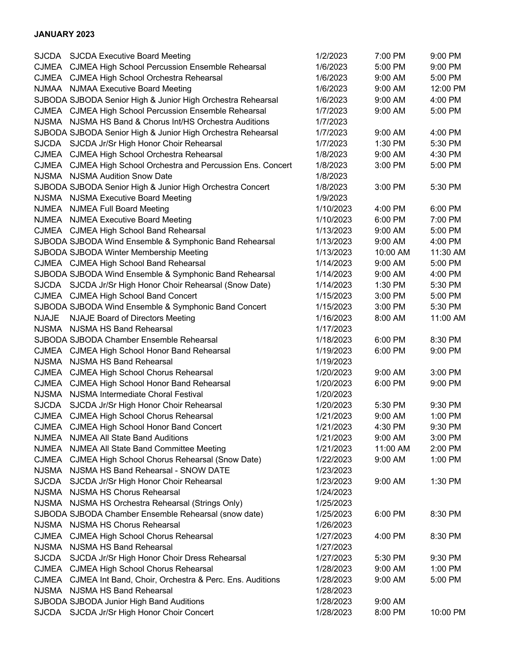#### **JANUARY 2023**

|              | SJCDA SJCDA Executive Board Meeting                           | 1/2/2023  | 7:00 PM  | 9:00 PM  |
|--------------|---------------------------------------------------------------|-----------|----------|----------|
|              | CJMEA CJMEA High School Percussion Ensemble Rehearsal         | 1/6/2023  | 5:00 PM  | 9:00 PM  |
|              | CJMEA CJMEA High School Orchestra Rehearsal                   | 1/6/2023  | 9:00 AM  | 5:00 PM  |
|              | NJMAA NJMAA Executive Board Meeting                           | 1/6/2023  | 9:00 AM  | 12:00 PM |
|              | SJBODA SJBODA Senior High & Junior High Orchestra Rehearsal   | 1/6/2023  | 9:00 AM  | 4:00 PM  |
|              | CJMEA CJMEA High School Percussion Ensemble Rehearsal         | 1/7/2023  | 9:00 AM  | 5:00 PM  |
|              | NJSMA NJSMA HS Band & Chorus Int/HS Orchestra Auditions       | 1/7/2023  |          |          |
|              | SJBODA SJBODA Senior High & Junior High Orchestra Rehearsal   | 1/7/2023  | 9:00 AM  | 4:00 PM  |
|              | SJCDA SJCDA Jr/Sr High Honor Choir Rehearsal                  | 1/7/2023  | 1:30 PM  | 5:30 PM  |
|              | CJMEA CJMEA High School Orchestra Rehearsal                   | 1/8/2023  | 9:00 AM  | 4:30 PM  |
| <b>CJMEA</b> | CJMEA High School Orchestra and Percussion Ens. Concert       | 1/8/2023  | 3:00 PM  | 5:00 PM  |
|              | NJSMA NJSMA Audition Snow Date                                | 1/8/2023  |          |          |
|              | SJBODA SJBODA Senior High & Junior High Orchestra Concert     | 1/8/2023  | 3:00 PM  | 5:30 PM  |
|              | NJSMA NJSMA Executive Board Meeting                           | 1/9/2023  |          |          |
|              | NJMEA NJMEA Full Board Meeting                                | 1/10/2023 | 4:00 PM  | 6:00 PM  |
| NJMEA        | <b>NJMEA Executive Board Meeting</b>                          | 1/10/2023 | 6:00 PM  | 7:00 PM  |
|              | CJMEA CJMEA High School Band Rehearsal                        | 1/13/2023 | 9:00 AM  | 5:00 PM  |
|              | SJBODA SJBODA Wind Ensemble & Symphonic Band Rehearsal        | 1/13/2023 | 9:00 AM  | 4:00 PM  |
|              | SJBODA SJBODA Winter Membership Meeting                       | 1/13/2023 | 10:00 AM | 11:30 AM |
|              | CJMEA CJMEA High School Band Rehearsal                        | 1/14/2023 | 9:00 AM  | 5:00 PM  |
|              | SJBODA SJBODA Wind Ensemble & Symphonic Band Rehearsal        | 1/14/2023 | 9:00 AM  | 4:00 PM  |
|              | SJCDA SJCDA Jr/Sr High Honor Choir Rehearsal (Snow Date)      | 1/14/2023 | 1:30 PM  | 5:30 PM  |
|              | CJMEA CJMEA High School Band Concert                          | 1/15/2023 | 3:00 PM  | 5:00 PM  |
|              | SJBODA SJBODA Wind Ensemble & Symphonic Band Concert          | 1/15/2023 | 3:00 PM  | 5:30 PM  |
| <b>NJAJE</b> | <b>NJAJE Board of Directors Meeting</b>                       | 1/16/2023 | 8:00 AM  | 11:00 AM |
| <b>NJSMA</b> | <b>NJSMA HS Band Rehearsal</b>                                | 1/17/2023 |          |          |
|              | SJBODA SJBODA Chamber Ensemble Rehearsal                      | 1/18/2023 | 6:00 PM  | 8:30 PM  |
|              | CJMEA CJMEA High School Honor Band Rehearsal                  | 1/19/2023 | 6:00 PM  | 9:00 PM  |
|              | NJSMA NJSMA HS Band Rehearsal                                 | 1/19/2023 |          |          |
| CJMEA        | <b>CJMEA High School Chorus Rehearsal</b>                     | 1/20/2023 | 9:00 AM  | 3:00 PM  |
| <b>CJMEA</b> | CJMEA High School Honor Band Rehearsal                        | 1/20/2023 | 6:00 PM  | 9:00 PM  |
| <b>NJSMA</b> | NJSMA Intermediate Choral Festival                            | 1/20/2023 |          |          |
| <b>SJCDA</b> | SJCDA Jr/Sr High Honor Choir Rehearsal                        | 1/20/2023 | 5:30 PM  | 9:30 PM  |
| <b>CJMEA</b> | <b>CJMEA High School Chorus Rehearsal</b>                     | 1/21/2023 | 9:00 AM  | 1:00 PM  |
| CJMEA        | <b>CJMEA High School Honor Band Concert</b>                   | 1/21/2023 | 4:30 PM  | 9:30 PM  |
| <b>NJMEA</b> | <b>NJMEA All State Band Auditions</b>                         | 1/21/2023 | 9:00 AM  | 3:00 PM  |
| NJMEA        | NJMEA All State Band Committee Meeting                        | 1/21/2023 | 11:00 AM | 2:00 PM  |
|              | CJMEA CJMEA High School Chorus Rehearsal (Snow Date)          | 1/22/2023 | 9:00 AM  | 1:00 PM  |
|              | NJSMA NJSMA HS Band Rehearsal - SNOW DATE                     | 1/23/2023 |          |          |
| <b>SJCDA</b> | SJCDA Jr/Sr High Honor Choir Rehearsal                        | 1/23/2023 | 9:00 AM  | 1:30 PM  |
| NJSMA        | NJSMA HS Chorus Rehearsal                                     | 1/24/2023 |          |          |
|              | NJSMA NJSMA HS Orchestra Rehearsal (Strings Only)             | 1/25/2023 |          |          |
|              | SJBODA SJBODA Chamber Ensemble Rehearsal (snow date)          | 1/25/2023 | 6:00 PM  | 8:30 PM  |
|              | NJSMA NJSMA HS Chorus Rehearsal                               | 1/26/2023 |          |          |
| CJMEA        |                                                               | 1/27/2023 |          | 8:30 PM  |
|              | <b>CJMEA High School Chorus Rehearsal</b>                     |           | 4:00 PM  |          |
| <b>NJSMA</b> | NJSMA HS Band Rehearsal                                       | 1/27/2023 |          |          |
|              | SJCDA SJCDA Jr/Sr High Honor Choir Dress Rehearsal            | 1/27/2023 | 5:30 PM  | 9:30 PM  |
|              | CJMEA CJMEA High School Chorus Rehearsal                      | 1/28/2023 | 9:00 AM  | 1:00 PM  |
|              | CJMEA CJMEA Int Band, Choir, Orchestra & Perc. Ens. Auditions | 1/28/2023 | 9:00 AM  | 5:00 PM  |
|              | NJSMA NJSMA HS Band Rehearsal                                 | 1/28/2023 |          |          |
|              | SJBODA SJBODA Junior High Band Auditions                      | 1/28/2023 | 9:00 AM  |          |
|              | SJCDA SJCDA Jr/Sr High Honor Choir Concert                    | 1/28/2023 | 8:00 PM  | 10:00 PM |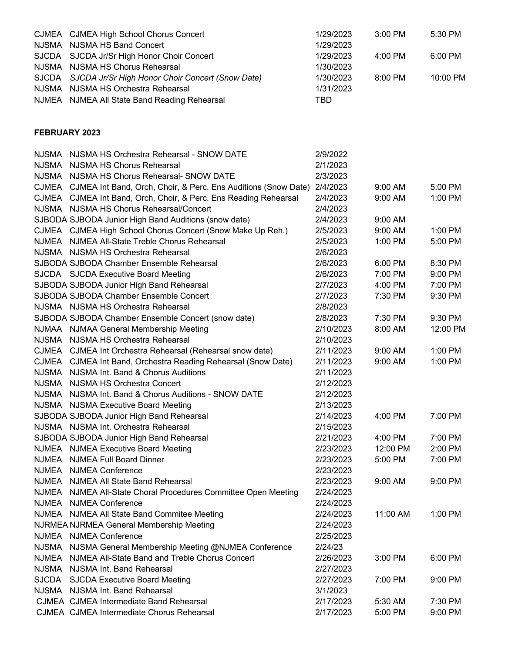|               | CJMEA CJMEA High School Chorus Concert                                                   | 1/29/2023              | 3:00 PM  | 5:30 PM  |
|---------------|------------------------------------------------------------------------------------------|------------------------|----------|----------|
| <b>NJSMA</b>  | NJSMA HS Band Concert                                                                    | 1/29/2023              |          |          |
| <b>SJCDA</b>  | SJCDA Jr/Sr High Honor Choir Concert                                                     | 1/29/2023              | 4:00 PM  | 6:00 PM  |
| <b>NJSMA</b>  | NJSMA HS Chorus Rehearsal                                                                | 1/30/2023              |          |          |
| <b>SJCDA</b>  | SJCDA Jr/Sr High Honor Choir Concert (Snow Date)                                         | 1/30/2023              | 8:00 PM  | 10:00 PM |
|               | NJSMA NJSMA HS Orchestra Rehearsal                                                       | 1/31/2023              |          |          |
|               | NJMEA NJMEA All State Band Reading Rehearsal                                             | <b>TBD</b>             |          |          |
| FEBRUARY 2023 |                                                                                          |                        |          |          |
|               |                                                                                          |                        |          |          |
|               | NJSMA NJSMA HS Orchestra Rehearsal - SNOW DATE                                           | 2/9/2022               |          |          |
| NJSMA         | NJSMA HS Chorus Rehearsal                                                                | 2/1/2023               |          |          |
|               | NJSMA NJSMA HS Chorus Rehearsal- SNOW DATE                                               | 2/3/2023               |          |          |
|               | CJMEA CJMEA Int Band, Orch, Choir, & Perc. Ens Auditions (Snow Date)                     | 2/4/2023               | 9:00 AM  | 5:00 PM  |
|               | CJMEA CJMEA Int Band, Orch, Choir, & Perc. Ens Reading Rehearsal                         | 2/4/2023               | 9:00 AM  | 1:00 PM  |
|               | NJSMA NJSMA HS Chorus Rehearsal/Concert                                                  | 2/4/2023               |          |          |
|               | SJBODA SJBODA Junior High Band Auditions (snow date)                                     | 2/4/2023               | 9:00 AM  |          |
|               | CJMEA CJMEA High School Chorus Concert (Snow Make Up Reh.)                               | 2/5/2023               | 9:00 AM  | 1:00 PM  |
|               | NJMEA NJMEA All-State Treble Chorus Rehearsal                                            | 2/5/2023               | 1:00 PM  | 5:00 PM  |
|               | NJSMA NJSMA HS Orchestra Rehearsal                                                       | 2/6/2023               |          |          |
|               | SJBODA SJBODA Chamber Ensemble Rehearsal                                                 | 2/6/2023               | 6:00 PM  | 8:30 PM  |
|               | SJCDA SJCDA Executive Board Meeting                                                      | 2/6/2023               | 7:00 PM  | 9:00 PM  |
|               | SJBODA SJBODA Junior High Band Rehearsal                                                 | 2/7/2023               | 4:00 PM  | 7:00 PM  |
|               | SJBODA SJBODA Chamber Ensemble Concert                                                   | 2/7/2023               | 7:30 PM  | 9:30 PM  |
|               | NJSMA NJSMA HS Orchestra Rehearsal                                                       | 2/8/2023               |          |          |
|               | SJBODA SJBODA Chamber Ensemble Concert (snow date)                                       | 2/8/2023               | 7:30 PM  | 9:30 PM  |
|               | NJMAA NJMAA General Membership Meeting                                                   | 2/10/2023              | 8:00 AM  | 12:00 PM |
|               | NJSMA NJSMA HS Orchestra Rehearsal                                                       | 2/10/2023              |          |          |
|               | CJMEA CJMEA Int Orchestra Rehearsal (Rehearsal snow date)                                | 2/11/2023              | 9:00 AM  | 1:00 PM  |
|               | CJMEA CJMEA Int Band, Orchestra Reading Rehearsal (Snow Date)                            | 2/11/2023              | 9:00 AM  | 1:00 PM  |
|               | NJSMA NJSMA Int. Band & Chorus Auditions                                                 | 2/11/2023              |          |          |
| NJSMA         | NJSMA HS Orchestra Concert                                                               | 2/12/2023              |          |          |
|               | NJSMA NJSMA Int. Band & Chorus Auditions - SNOW DATE                                     | 2/12/2023              |          |          |
|               | NJSMA NJSMA Executive Board Meeting                                                      | 2/13/2023              |          |          |
|               | SJBODA SJBODA Junior High Band Rehearsal                                                 | 2/14/2023              | 4:00 PM  | 7:00 PM  |
|               | NJSMA NJSMA Int. Orchestra Rehearsal                                                     | 2/15/2023              |          |          |
|               | SJBODA SJBODA Junior High Band Rehearsal                                                 | 2/21/2023              | 4:00 PM  | 7:00 PM  |
|               | NJMEA NJMEA Executive Board Meeting                                                      | 2/23/2023              | 12:00 PM | 2:00 PM  |
|               | NJMEA NJMEA Full Board Dinner                                                            | 2/23/2023              | 5:00 PM  | 7:00 PM  |
|               | NJMEA NJMEA Conference<br>NJMEA All State Band Rehearsal                                 | 2/23/2023              | 9:00 AM  |          |
| NJMEA         |                                                                                          | 2/23/2023<br>2/24/2023 |          | 9:00 PM  |
|               | NJMEA NJMEA All-State Choral Procedures Committee Open Meeting<br>NJMEA NJMEA Conference | 2/24/2023              |          |          |
|               | NJMEA NJMEA All State Band Commitee Meeting                                              | 2/24/2023              | 11:00 AM | 1:00 PM  |
|               |                                                                                          | 2/24/2023              |          |          |
| NJMEA         | NJRMEA NJRMEA General Membership Meeting<br><b>NJMEA Conference</b>                      | 2/25/2023              |          |          |
| <b>NJSMA</b>  | NJSMA General Membership Meeting @NJMEA Conference                                       | 2/24/23                |          |          |
|               | NJMEA NJMEA All-State Band and Treble Chorus Concert                                     | 2/26/2023              | 3:00 PM  | 6:00 PM  |
|               | NJSMA NJSMA Int. Band Rehearsal                                                          | 2/27/2023              |          |          |
| SJCDA         | <b>SJCDA Executive Board Meeting</b>                                                     | 2/27/2023              | 7:00 PM  | 9:00 PM  |
| NJSMA         | NJSMA Int. Band Rehearsal                                                                | 3/1/2023               |          |          |
|               | CJMEA CJMEA Intermediate Band Rehearsal                                                  | 2/17/2023              | 5:30 AM  | 7:30 PM  |
|               | CJMEA CJMEA Intermediate Chorus Rehearsal                                                | 2/17/2023              | 5:00 PM  | 9:00 PM  |
|               |                                                                                          |                        |          |          |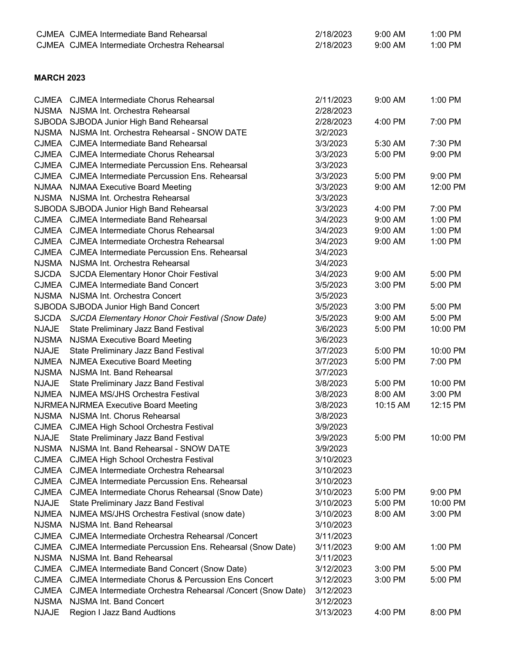|                   | CJMEA CJMEA Intermediate Band Rehearsal                        | 2/18/2023 | 9:00 AM  | 1:00 PM  |
|-------------------|----------------------------------------------------------------|-----------|----------|----------|
|                   | CJMEA CJMEA Intermediate Orchestra Rehearsal                   | 2/18/2023 | 9:00 AM  | 1:00 PM  |
|                   |                                                                |           |          |          |
|                   |                                                                |           |          |          |
| <b>MARCH 2023</b> |                                                                |           |          |          |
|                   | CJMEA CJMEA Intermediate Chorus Rehearsal                      | 2/11/2023 | 9:00 AM  | 1:00 PM  |
|                   | NJSMA NJSMA Int. Orchestra Rehearsal                           | 2/28/2023 |          |          |
|                   | SJBODA SJBODA Junior High Band Rehearsal                       | 2/28/2023 | 4:00 PM  | 7:00 PM  |
|                   | NJSMA NJSMA Int. Orchestra Rehearsal - SNOW DATE               | 3/2/2023  |          |          |
|                   | CJMEA CJMEA Intermediate Band Rehearsal                        | 3/3/2023  | 5:30 AM  | 7:30 PM  |
|                   | CJMEA CJMEA Intermediate Chorus Rehearsal                      | 3/3/2023  | 5:00 PM  | 9:00 PM  |
|                   | CJMEA CJMEA Intermediate Percussion Ens. Rehearsal             | 3/3/2023  |          |          |
|                   | CJMEA CJMEA Intermediate Percussion Ens. Rehearsal             | 3/3/2023  | 5:00 PM  | 9:00 PM  |
|                   | NJMAA NJMAA Executive Board Meeting                            | 3/3/2023  | 9:00 AM  | 12:00 PM |
|                   | NJSMA NJSMA Int. Orchestra Rehearsal                           | 3/3/2023  |          |          |
|                   | SJBODA SJBODA Junior High Band Rehearsal                       | 3/3/2023  | 4:00 PM  | 7:00 PM  |
|                   | CJMEA CJMEA Intermediate Band Rehearsal                        | 3/4/2023  | 9:00 AM  | 1:00 PM  |
|                   | CJMEA CJMEA Intermediate Chorus Rehearsal                      | 3/4/2023  | 9:00 AM  | 1:00 PM  |
|                   | CJMEA CJMEA Intermediate Orchestra Rehearsal                   | 3/4/2023  | 9:00 AM  | 1:00 PM  |
|                   | CJMEA CJMEA Intermediate Percussion Ens. Rehearsal             | 3/4/2023  |          |          |
|                   | NJSMA NJSMA Int. Orchestra Rehearsal                           | 3/4/2023  |          |          |
| <b>SJCDA</b>      | SJCDA Elementary Honor Choir Festival                          | 3/4/2023  | 9:00 AM  | 5:00 PM  |
|                   | CJMEA CJMEA Intermediate Band Concert                          | 3/5/2023  | 3:00 PM  | 5:00 PM  |
|                   | NJSMA NJSMA Int. Orchestra Concert                             | 3/5/2023  |          |          |
|                   | SJBODA SJBODA Junior High Band Concert                         | 3/5/2023  | 3:00 PM  | 5:00 PM  |
| <b>SJCDA</b>      | SJCDA Elementary Honor Choir Festival (Snow Date)              | 3/5/2023  | 9:00 AM  | 5:00 PM  |
| <b>NJAJE</b>      | State Preliminary Jazz Band Festival                           | 3/6/2023  | 5:00 PM  | 10:00 PM |
| <b>NJSMA</b>      | <b>NJSMA Executive Board Meeting</b>                           | 3/6/2023  |          |          |
| <b>NJAJE</b>      | State Preliminary Jazz Band Festival                           | 3/7/2023  | 5:00 PM  | 10:00 PM |
| <b>NJMEA</b>      | <b>NJMEA Executive Board Meeting</b>                           | 3/7/2023  | 5:00 PM  | 7:00 PM  |
| <b>NJSMA</b>      | NJSMA Int. Band Rehearsal                                      | 3/7/2023  |          |          |
| <b>NJAJE</b>      | State Preliminary Jazz Band Festival                           | 3/8/2023  | 5:00 PM  | 10:00 PM |
| <b>NJMEA</b>      | NJMEA MS/JHS Orchestra Festival                                | 3/8/2023  | 8:00 AM  | 3:00 PM  |
|                   | <b>NJRMEA NJRMEA Executive Board Meeting</b>                   | 3/8/2023  | 10:15 AM | 12:15 PM |
|                   | NJSMA NJSMA Int. Chorus Rehearsal                              | 3/8/2023  |          |          |
| CJMEA             | <b>CJMEA High School Orchestra Festival</b>                    | 3/9/2023  |          |          |
| <b>NJAJE</b>      | State Preliminary Jazz Band Festival                           | 3/9/2023  | 5:00 PM  | 10:00 PM |
|                   | NJSMA NJSMA Int. Band Rehearsal - SNOW DATE                    | 3/9/2023  |          |          |
| CJMEA             | <b>CJMEA High School Orchestra Festival</b>                    | 3/10/2023 |          |          |
| <b>CJMEA</b>      | <b>CJMEA Intermediate Orchestra Rehearsal</b>                  | 3/10/2023 |          |          |
| CJMEA             | <b>CJMEA Intermediate Percussion Ens. Rehearsal</b>            | 3/10/2023 |          |          |
|                   | CJMEA CJMEA Intermediate Chorus Rehearsal (Snow Date)          | 3/10/2023 | 5:00 PM  | 9:00 PM  |
| <b>NJAJE</b>      | State Preliminary Jazz Band Festival                           | 3/10/2023 | 5:00 PM  | 10:00 PM |
| <b>NJMEA</b>      | NJMEA MS/JHS Orchestra Festival (snow date)                    | 3/10/2023 | 8:00 AM  | 3:00 PM  |
| <b>NJSMA</b>      | NJSMA Int. Band Rehearsal                                      | 3/10/2023 |          |          |
| CJMEA             | CJMEA Intermediate Orchestra Rehearsal /Concert                | 3/11/2023 |          |          |
|                   | CJMEA CJMEA Intermediate Percussion Ens. Rehearsal (Snow Date) | 3/11/2023 | 9:00 AM  | 1:00 PM  |
| <b>NJSMA</b>      | NJSMA Int. Band Rehearsal                                      | 3/11/2023 |          |          |
| <b>CJMEA</b>      | <b>CJMEA Intermediate Band Concert (Snow Date)</b>             | 3/12/2023 | 3:00 PM  | 5:00 PM  |
| <b>CJMEA</b>      | <b>CJMEA Intermediate Chorus &amp; Percussion Ens Concert</b>  | 3/12/2023 | 3:00 PM  | 5:00 PM  |
| <b>CJMEA</b>      | CJMEA Intermediate Orchestra Rehearsal /Concert (Snow Date)    | 3/12/2023 |          |          |
| <b>NJSMA</b>      | NJSMA Int. Band Concert                                        | 3/12/2023 |          |          |
| <b>NJAJE</b>      | Region I Jazz Band Audtions                                    | 3/13/2023 | 4:00 PM  | 8:00 PM  |
|                   |                                                                |           |          |          |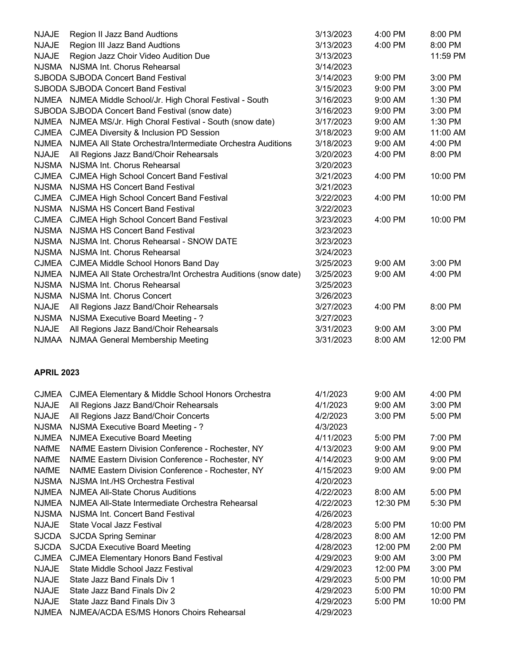| <b>NJAJE</b>      | Region II Jazz Band Audtions                                                                             | 3/13/2023 | 4:00 PM   | 8:00 PM  |
|-------------------|----------------------------------------------------------------------------------------------------------|-----------|-----------|----------|
| <b>NJAJE</b>      | Region III Jazz Band Audtions                                                                            | 3/13/2023 | 4:00 PM   | 8:00 PM  |
| <b>NJAJE</b>      | Region Jazz Choir Video Audition Due                                                                     | 3/13/2023 |           | 11:59 PM |
|                   | NJSMA NJSMA Int. Chorus Rehearsal                                                                        | 3/14/2023 |           |          |
|                   | SJBODA SJBODA Concert Band Festival                                                                      | 3/14/2023 | 9:00 PM   | 3:00 PM  |
|                   | SJBODA SJBODA Concert Band Festival                                                                      | 3/15/2023 | 9:00 PM   | 3:00 PM  |
|                   | NJMEA NJMEA Middle School/Jr. High Choral Festival - South                                               | 3/16/2023 | 9:00 AM   | 1:30 PM  |
|                   | SJBODA SJBODA Concert Band Festival (snow date)                                                          | 3/16/2023 | 9:00 PM   | 3:00 PM  |
|                   | NJMEA NJMEA MS/Jr. High Choral Festival - South (snow date)                                              | 3/17/2023 | 9:00 AM   | 1:30 PM  |
|                   | CJMEA CJMEA Diversity & Inclusion PD Session                                                             | 3/18/2023 | 9:00 AM   | 11:00 AM |
| <b>NJMEA</b>      | NJMEA All State Orchestra/Intermediate Orchestra Auditions                                               | 3/18/2023 | 9:00 AM   | 4:00 PM  |
| <b>NJAJE</b>      | All Regions Jazz Band/Choir Rehearsals                                                                   | 3/20/2023 | 4:00 PM   | 8:00 PM  |
|                   | NJSMA NJSMA Int. Chorus Rehearsal                                                                        | 3/20/2023 |           |          |
|                   | CJMEA CJMEA High School Concert Band Festival                                                            | 3/21/2023 | 4:00 PM   | 10:00 PM |
|                   | NJSMA NJSMA HS Concert Band Festival                                                                     | 3/21/2023 |           |          |
|                   | CJMEA CJMEA High School Concert Band Festival                                                            | 3/22/2023 | 4:00 PM   | 10:00 PM |
|                   | NJSMA NJSMA HS Concert Band Festival                                                                     | 3/22/2023 |           |          |
|                   | CJMEA CJMEA High School Concert Band Festival                                                            | 3/23/2023 | 4:00 PM   | 10:00 PM |
|                   | NJSMA NJSMA HS Concert Band Festival                                                                     | 3/23/2023 |           |          |
|                   | NJSMA NJSMA Int. Chorus Rehearsal - SNOW DATE                                                            | 3/23/2023 |           |          |
|                   | NJSMA NJSMA Int. Chorus Rehearsal                                                                        | 3/24/2023 |           |          |
|                   |                                                                                                          | 3/25/2023 | 9:00 AM   | 3:00 PM  |
|                   | CJMEA CJMEA Middle School Honors Band Day                                                                |           |           |          |
|                   | NJMEA NJMEA All State Orchestra/Int Orchestra Auditions (snow date)<br>NJSMA NJSMA Int. Chorus Rehearsal | 3/25/2023 | 9:00 AM   | 4:00 PM  |
|                   |                                                                                                          | 3/25/2023 |           |          |
|                   | NJSMA NJSMA Int. Chorus Concert                                                                          | 3/26/2023 |           |          |
| <b>NJAJE</b>      | All Regions Jazz Band/Choir Rehearsals                                                                   | 3/27/2023 | 4:00 PM   | 8:00 PM  |
| <b>NJSMA</b>      | NJSMA Executive Board Meeting - ?                                                                        | 3/27/2023 |           |          |
| <b>NJAJE</b>      | All Regions Jazz Band/Choir Rehearsals                                                                   | 3/31/2023 | 9:00 AM   | 3:00 PM  |
|                   | NJMAA NJMAA General Membership Meeting                                                                   | 3/31/2023 | 8:00 AM   | 12:00 PM |
| <b>APRIL 2023</b> |                                                                                                          |           |           |          |
|                   | CJMEA CJMEA Elementary & Middle School Honors Orchestra                                                  | 4/1/2023  | 9:00 AM   | 4:00 PM  |
| <b>NJAJE</b>      | All Regions Jazz Band/Choir Rehearsals                                                                   | 4/1/2023  | 9:00 AM   | 3:00 PM  |
| <b>NJAJE</b>      | All Regions Jazz Band/Choir Concerts                                                                     | 4/2/2023  | 3:00 PM   | 5:00 PM  |
| <b>NJSMA</b>      | NJSMA Executive Board Meeting - ?                                                                        | 4/3/2023  |           |          |
| <b>NJMEA</b>      | <b>NJMEA Executive Board Meeting</b>                                                                     | 4/11/2023 | 5:00 PM   | 7:00 PM  |
| <b>NAfME</b>      | NAfME Eastern Division Conference - Rochester, NY                                                        | 4/13/2023 | 9:00 AM   | 9:00 PM  |
| <b>NAfME</b>      | NAfME Eastern Division Conference - Rochester, NY                                                        | 4/14/2023 | 9:00 AM   | 9:00 PM  |
| <b>NAfME</b>      | NAfME Eastern Division Conference - Rochester, NY                                                        | 4/15/2023 | 9:00 AM   | 9:00 PM  |
| <b>NJSMA</b>      | NJSMA Int./HS Orchestra Festival                                                                         | 4/20/2023 |           |          |
|                   | NJMEA NJMEA All-State Chorus Auditions                                                                   | 4/22/2023 | 8:00 AM   | 5:00 PM  |
|                   | NJMEA NJMEA All-State Intermediate Orchestra Rehearsal                                                   | 4/22/2023 | 12:30 PM  | 5:30 PM  |
| <b>NJSMA</b>      | NJSMA Int. Concert Band Festival                                                                         | 4/26/2023 |           |          |
| <b>NJAJE</b>      | State Vocal Jazz Festival                                                                                | 4/28/2023 | 5:00 PM   | 10:00 PM |
| <b>SJCDA</b>      | <b>SJCDA Spring Seminar</b>                                                                              | 4/28/2023 | 8:00 AM   | 12:00 PM |
| <b>SJCDA</b>      | <b>SJCDA Executive Board Meeting</b>                                                                     | 4/28/2023 | 12:00 PM  | 2:00 PM  |
| <b>CJMEA</b>      | <b>CJMEA Elementary Honors Band Festival</b>                                                             | 4/29/2023 | $9:00$ AM | 3:00 PM  |
| <b>NJAJE</b>      | State Middle School Jazz Festival                                                                        | 4/29/2023 | 12:00 PM  | 3:00 PM  |
| <b>NJAJE</b>      | State Jazz Band Finals Div 1                                                                             | 4/29/2023 | 5:00 PM   | 10:00 PM |
| <b>NJAJE</b>      | State Jazz Band Finals Div 2                                                                             | 4/29/2023 | 5:00 PM   | 10:00 PM |
| <b>NJAJE</b>      | State Jazz Band Finals Div 3                                                                             | 4/29/2023 | 5:00 PM   | 10:00 PM |
|                   | NJMEA NJMEA/ACDA ES/MS Honors Choirs Rehearsal                                                           | 4/29/2023 |           |          |
|                   |                                                                                                          |           |           |          |